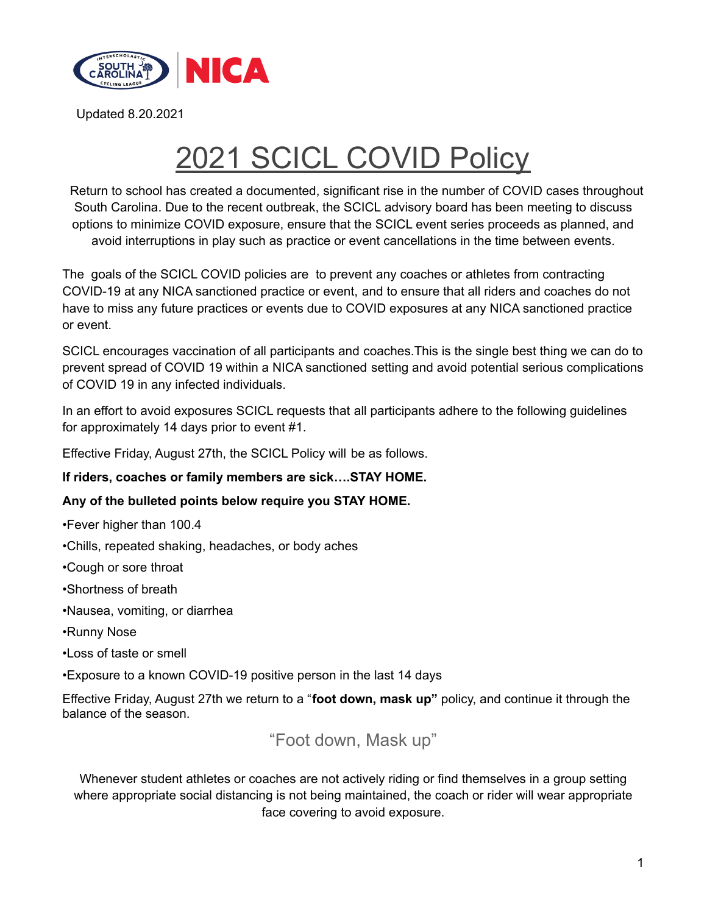

# 2021 SCICL COVID Policy

Return to school has created a documented, significant rise in the number of COVID cases throughout South Carolina. Due to the recent outbreak, the SCICL advisory board has been meeting to discuss options to minimize COVID exposure, ensure that the SCICL event series proceeds as planned, and avoid interruptions in play such as practice or event cancellations in the time between events.

The goals of the SCICL COVID policies are to prevent any coaches or athletes from contracting COVID-19 at any NICA sanctioned practice or event, and to ensure that all riders and coaches do not have to miss any future practices or events due to COVID exposures at any NICA sanctioned practice or event.

SCICL encourages vaccination of all participants and coaches.This is the single best thing we can do to prevent spread of COVID 19 within a NICA sanctioned setting and avoid potential serious complications of COVID 19 in any infected individuals.

In an effort to avoid exposures SCICL requests that all participants adhere to the following guidelines for approximately 14 days prior to event #1.

Effective Friday, August 27th, the SCICL Policy will be as follows.

**If riders, coaches or family members are sick….STAY HOME.**

#### **Any of the bulleted points below require you STAY HOME.**

•Fever higher than 100.4

- •Chills, repeated shaking, headaches, or body aches
- •Cough or sore throat
- •Shortness of breath
- •Nausea, vomiting, or diarrhea
- •Runny Nose
- •Loss of taste or smell
- •Exposure to a known COVID-19 positive person in the last 14 days

Effective Friday, August 27th we return to a "**foot down, mask up"** policy, and continue it through the balance of the season.

"Foot down, Mask up"

Whenever student athletes or coaches are not actively riding or find themselves in a group setting where appropriate social distancing is not being maintained, the coach or rider will wear appropriate face covering to avoid exposure.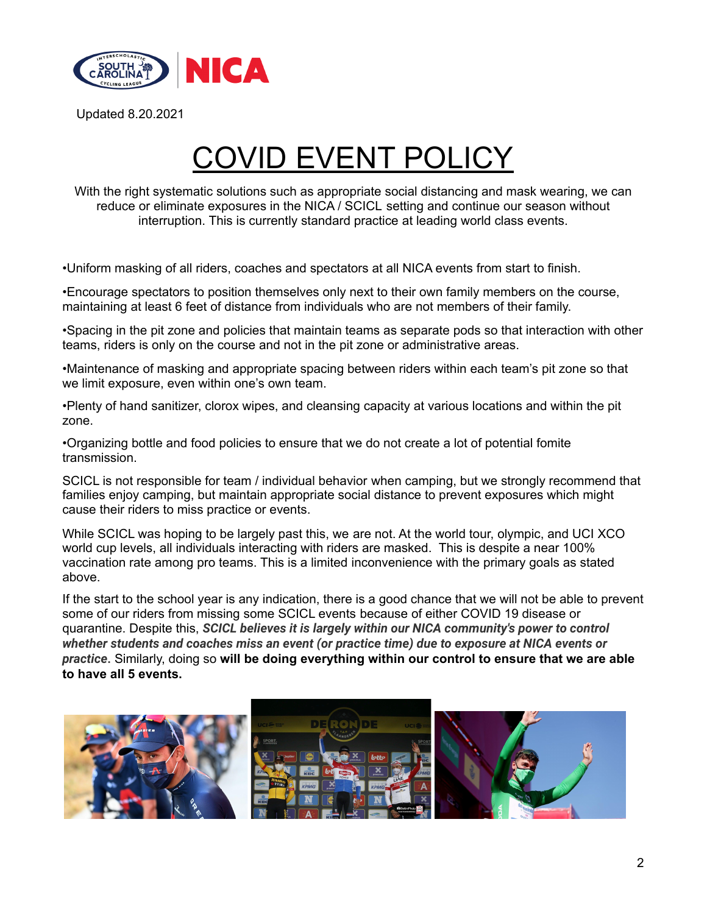

# **OVID EVENT POLICY**

With the right systematic solutions such as appropriate social distancing and mask wearing, we can reduce or eliminate exposures in the NICA / SCICL setting and continue our season without interruption. This is currently standard practice at leading world class events.

•Uniform masking of all riders, coaches and spectators at all NICA events from start to finish.

•Encourage spectators to position themselves only next to their own family members on the course, maintaining at least 6 feet of distance from individuals who are not members of their family.

•Spacing in the pit zone and policies that maintain teams as separate pods so that interaction with other teams, riders is only on the course and not in the pit zone or administrative areas.

•Maintenance of masking and appropriate spacing between riders within each team's pit zone so that we limit exposure, even within one's own team.

•Plenty of hand sanitizer, clorox wipes, and cleansing capacity at various locations and within the pit zone.

•Organizing bottle and food policies to ensure that we do not create a lot of potential fomite transmission.

SCICL is not responsible for team / individual behavior when camping, but we strongly recommend that families enjoy camping, but maintain appropriate social distance to prevent exposures which might cause their riders to miss practice or events.

While SCICL was hoping to be largely past this, we are not. At the world tour, olympic, and UCI XCO world cup levels, all individuals interacting with riders are masked. This is despite a near 100% vaccination rate among pro teams. This is a limited inconvenience with the primary goals as stated above.

If the start to the school year is any indication, there is a good chance that we will not be able to prevent some of our riders from missing some SCICL events because of either COVID 19 disease or quarantine. Despite this, *SCICL believes it is largely within our NICA community's power to control whether students and coaches miss an event (or practice time) due to exposure at NICA events or practice***.** Similarly, doing so **will be doing everything within our control to ensure that we are able to have all 5 events.**

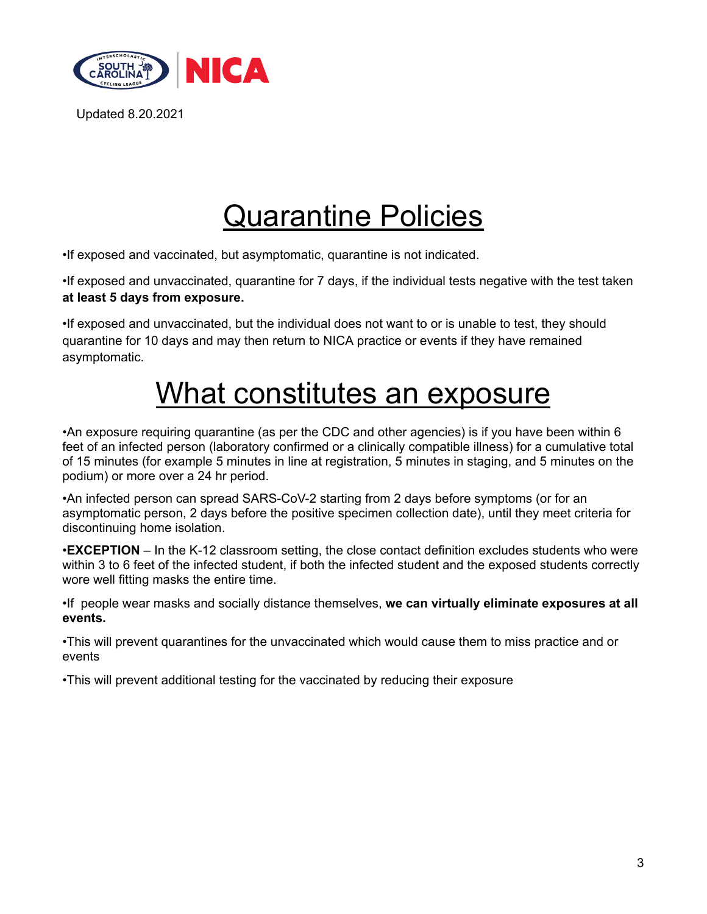

# Quarantine Policies

•If exposed and vaccinated, but asymptomatic, quarantine is not indicated.

•If exposed and unvaccinated, quarantine for 7 days, if the individual tests negative with the test taken **at least 5 days from exposure.**

•If exposed and unvaccinated, but the individual does not want to or is unable to test, they should quarantine for 10 days and may then return to NICA practice or events if they have remained asymptomatic.

### What constitutes an exposure

•An exposure requiring quarantine (as per the CDC and other agencies) is if you have been within 6 feet of an infected person (laboratory confirmed or a clinically compatible illness) for a cumulative total of 15 minutes (for example 5 minutes in line at registration, 5 minutes in staging, and 5 minutes on the podium) or more over a 24 hr period.

•An infected person can spread SARS-CoV-2 starting from 2 days before symptoms (or for an asymptomatic person, 2 days before the positive specimen collection date), until they meet criteria for discontinuing home isolation.

•**EXCEPTION** – In the K-12 classroom setting, the close contact definition excludes students who were within 3 to 6 feet of the infected student, if both the infected student and the exposed students correctly wore well fitting masks the entire time.

•If people wear masks and socially distance themselves, **we can virtually eliminate exposures at all events.**

•This will prevent quarantines for the unvaccinated which would cause them to miss practice and or events

•This will prevent additional testing for the vaccinated by reducing their exposure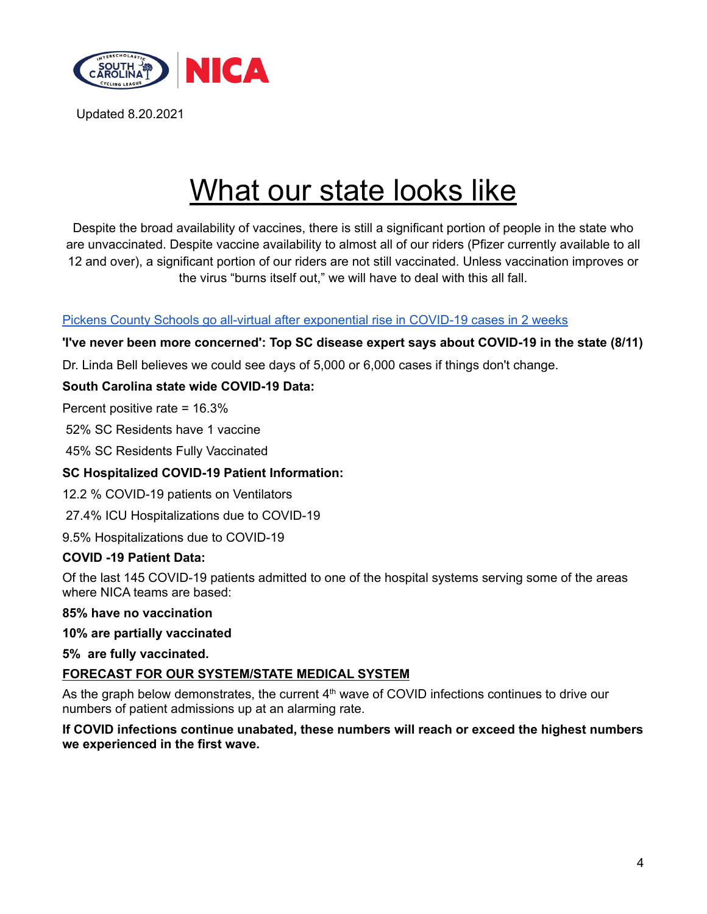

### What our state looks like

Despite the broad availability of vaccines, there is still a significant portion of people in the state who are unvaccinated. Despite vaccine availability to almost all of our riders (Pfizer currently available to all 12 and over), a significant portion of our riders are not still vaccinated. Unless vaccination improves or the virus "burns itself out," we will have to deal with this all fall.

### Pickens County Schools go all-virtual after [exponential](https://www.postandcourier.com/greenville/health/pickens-county-schools-go-all-virtual-after-exponential-rise-in-covid-19-cases-in-2/article_0a98dc56-fc81-11eb-9f21-c71a130d2dae.html) rise in COVID-19 cases in 2 weeks

**'I've never been more concerned': Top SC disease expert says about COVID-19 in the state (8/11)**

Dr. Linda Bell believes we could see days of 5,000 or 6,000 cases if things don't change.

### **South Carolina state wide COVID-19 Data:**

Percent positive rate = 16.3%

52% SC Residents have 1 vaccine

45% SC Residents Fully Vaccinated

#### **SC Hospitalized COVID-19 Patient Information:**

12.2 % COVID-19 patients on Ventilators

27.4% ICU Hospitalizations due to COVID-19

9.5% Hospitalizations due to COVID-19

#### **COVID -19 Patient Data:**

Of the last 145 COVID-19 patients admitted to one of the hospital systems serving some of the areas where NICA teams are based:

#### **85% have no vaccination**

#### **10% are partially vaccinated**

**5% are fully vaccinated.**

#### **FORECAST FOR OUR SYSTEM/STATE MEDICAL SYSTEM**

As the graph below demonstrates, the current  $4<sup>th</sup>$  wave of COVID infections continues to drive our numbers of patient admissions up at an alarming rate.

**If COVID infections continue unabated, these numbers will reach or exceed the highest numbers we experienced in the first wave.**